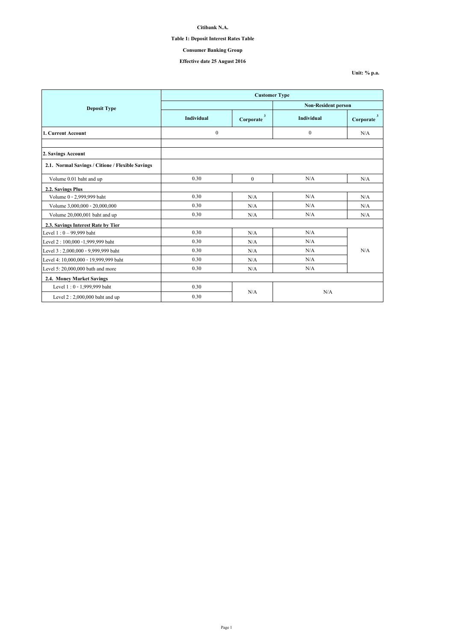## **Table 1: Deposit Interest Rates Table**

# **Consumer Banking Group**

# **Effective date 25 August 2016**

**Unit: % p.a.**

|                                                  | <b>Customer Type</b> |                                      |                            |                                      |  |  |
|--------------------------------------------------|----------------------|--------------------------------------|----------------------------|--------------------------------------|--|--|
| <b>Deposit Type</b>                              |                      |                                      | <b>Non-Resident person</b> |                                      |  |  |
|                                                  | <b>Individual</b>    | $\overline{\mathbf{3}}$<br>Corporate | Individual                 | $\overline{\mathbf{3}}$<br>Corporate |  |  |
| 1. Current Account                               | $\boldsymbol{0}$     |                                      | $\mathbf{0}$               | N/A                                  |  |  |
|                                                  |                      |                                      |                            |                                      |  |  |
| 2. Savings Account                               |                      |                                      |                            |                                      |  |  |
| 2.1. Normal Savings / Citione / Flexible Savings |                      |                                      |                            |                                      |  |  |
| Volume 0.01 baht and up                          | 0.30                 | $\theta$                             | N/A                        | N/A                                  |  |  |
| 2.2. Savings Plus                                |                      |                                      |                            |                                      |  |  |
| Volume 0 - 2,999,999 baht                        | 0.30                 | N/A                                  | N/A                        | N/A                                  |  |  |
| Volume 3,000,000 - 20,000,000                    | 0.30                 | N/A                                  | N/A                        | N/A                                  |  |  |
| Volume 20,000,001 baht and up                    | 0.30                 | N/A                                  | N/A                        | N/A                                  |  |  |
| 2.3. Savings Interest Rate by Tier               |                      |                                      |                            |                                      |  |  |
| Level 1:0 - 99,999 baht                          | 0.30                 | N/A                                  | N/A                        |                                      |  |  |
| Level 2:100,000 -1,999,999 baht                  | 0.30                 | N/A                                  | N/A                        |                                      |  |  |
| Level 3: 2,000,000 - 9,999,999 baht              | 0.30                 | N/A                                  | N/A                        | N/A                                  |  |  |
| Level 4: 10,000,000 - 19,999,999 baht            | 0.30                 | N/A                                  | N/A                        |                                      |  |  |
| Level 5: 20,000,000 bath and more                | 0.30                 | N/A                                  | N/A                        |                                      |  |  |
| 2.4. Money Market Savings                        |                      |                                      |                            |                                      |  |  |
| Level 1:0 - 1,999,999 baht                       | 0.30                 |                                      |                            |                                      |  |  |
| Level $2:2,000,000$ baht and up                  | 0.30                 | N/A                                  | N/A                        |                                      |  |  |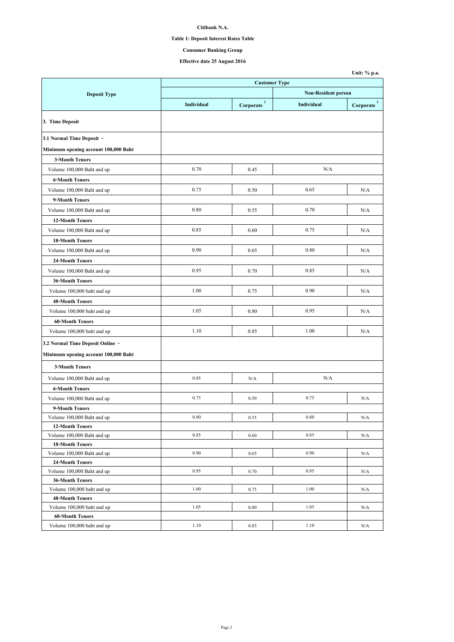## **Table 1: Deposit Interest Rates Table**

## **Consumer Banking Group**

|                                                      |                      |                        |                            | Unit: % p.a.                      |  |
|------------------------------------------------------|----------------------|------------------------|----------------------------|-----------------------------------|--|
|                                                      | <b>Customer Type</b> |                        |                            |                                   |  |
| <b>Deposit Type</b>                                  |                      |                        | <b>Non-Resident person</b> |                                   |  |
|                                                      | Individual           | Corporate <sup>3</sup> | Individual                 | $\textbf{Corporate} \text{ }^{3}$ |  |
| 3. Time Deposit                                      |                      |                        |                            |                                   |  |
| 3.1 Normal Time Deposit -                            |                      |                        |                            |                                   |  |
| Minimum opening account 100,000 Baht                 |                      |                        |                            |                                   |  |
| <b>3-Month Tenors</b>                                |                      |                        |                            |                                   |  |
| Volume 100,000 Baht and up                           | 0.70                 | 0.45                   | N/A                        |                                   |  |
| <b>6-Month Tenors</b>                                |                      |                        |                            |                                   |  |
| Volume 100,000 Baht and up                           | 0.75                 | 0.50                   | 0.65                       | N/A                               |  |
| 9-Month Tenors                                       |                      |                        |                            |                                   |  |
| Volume 100,000 Baht and up                           | 0.80                 | 0.55                   | 0.70                       | N/A                               |  |
| <b>12-Month Tenors</b>                               |                      |                        |                            |                                   |  |
| Volume 100,000 Baht and up                           | 0.85                 | 0.60                   | 0.75                       | N/A                               |  |
|                                                      |                      |                        |                            |                                   |  |
| <b>18-Month Tenors</b>                               | 0.90                 |                        | 0.80                       |                                   |  |
| Volume 100,000 Baht and up                           |                      | 0.65                   |                            | N/A                               |  |
| 24-Month Tenors                                      |                      |                        |                            |                                   |  |
| Volume 100,000 Baht and up                           | 0.95                 | 0.70                   | 0.85                       | N/A                               |  |
| <b>36-Month Tenors</b>                               |                      |                        |                            |                                   |  |
| Volume 100,000 baht and up                           | 1.00                 | 0.75                   | 0.90                       | N/A                               |  |
| <b>48-Month Tenors</b>                               |                      |                        |                            |                                   |  |
| Volume 100,000 baht and up                           | 1.05                 | 0.80                   | 0.95                       | N/A                               |  |
| <b>60-Month Tenors</b>                               |                      |                        |                            |                                   |  |
| Volume 100,000 baht and up                           | 1.10                 | 0.85                   | 1.00<br>N/A                |                                   |  |
| 3.2 Normal Time Deposit Online -                     |                      |                        |                            |                                   |  |
| Minimum opening account 100,000 Baht                 |                      |                        |                            |                                   |  |
| <b>3-Month Tenors</b>                                |                      |                        |                            |                                   |  |
| Volume 100,000 Baht and up                           | 0.85                 | N/A                    | N/A                        |                                   |  |
| <b>6-Month Tenors</b>                                |                      |                        |                            |                                   |  |
| Volume 100,000 Baht and up                           | 0.75                 | 0.50                   | 0.75                       | N/A                               |  |
| 9-Month Tenors                                       |                      |                        |                            |                                   |  |
| Volume 100,000 Baht and up                           | 0.80                 | 0.55                   | 0.80                       | N/A                               |  |
| <b>12-Month Tenors</b>                               |                      |                        |                            |                                   |  |
| Volume 100,000 Baht and up                           | 0.85                 | 0.60                   | 0.85                       | N/A                               |  |
| <b>18-Month Tenors</b>                               |                      |                        |                            |                                   |  |
| Volume 100,000 Baht and up                           | 0.90                 | 0.65                   | 0.90                       | N/A                               |  |
| 24-Month Tenors                                      |                      |                        |                            |                                   |  |
| Volume 100,000 Baht and up                           | 0.95                 | 0.70                   | 0.95                       | N/A                               |  |
| <b>36-Month Tenors</b>                               |                      |                        |                            |                                   |  |
| Volume 100,000 baht and up                           | 1.00                 | 0.75                   | 1.00                       | N/A                               |  |
| <b>48-Month Tenors</b><br>Volume 100,000 baht and up | 1.05                 | 0.80                   | 1.05                       |                                   |  |
| <b>60-Month Tenors</b>                               |                      |                        |                            | N/A                               |  |
| Volume 100,000 baht and up                           | 1.10                 | 0.85                   | 1.10                       | N/A                               |  |
|                                                      |                      |                        |                            |                                   |  |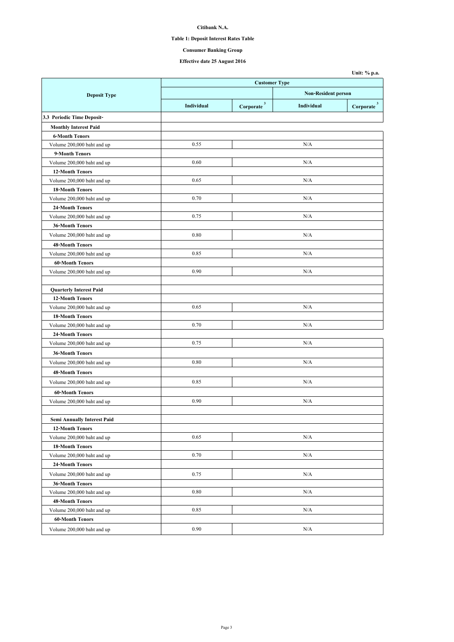## **Table 1: Deposit Interest Rates Table**

# **Consumer Banking Group**

|                                               |            |                            |            | Unit: % p.a.           |  |
|-----------------------------------------------|------------|----------------------------|------------|------------------------|--|
|                                               |            | <b>Customer Type</b>       |            |                        |  |
| <b>Deposit Type</b>                           |            | <b>Non-Resident person</b> |            |                        |  |
|                                               | Individual | $Corporate$ <sup>3</sup>   | Individual | Corporate <sup>3</sup> |  |
| 3.3 Periodic Time Deposit-                    |            |                            |            |                        |  |
| <b>Monthly Interest Paid</b>                  |            |                            |            |                        |  |
| <b>6-Month Tenors</b>                         |            |                            |            |                        |  |
| Volume 200,000 baht and up                    | 0.55       |                            | N/A        |                        |  |
| 9-Month Tenors                                |            |                            |            |                        |  |
| Volume 200,000 baht and up                    | 0.60       |                            | N/A        |                        |  |
| <b>12-Month Tenors</b>                        |            |                            |            |                        |  |
| Volume 200,000 baht and up                    | 0.65       |                            | N/A        |                        |  |
| <b>18-Month Tenors</b>                        |            |                            |            |                        |  |
| Volume 200,000 baht and up                    | 0.70       |                            | N/A        |                        |  |
| 24-Month Tenors                               |            |                            |            |                        |  |
| Volume 200,000 baht and up                    | 0.75       |                            | N/A        |                        |  |
| <b>36-Month Tenors</b>                        |            |                            |            |                        |  |
| Volume 200,000 baht and up                    | 0.80       |                            | N/A        |                        |  |
| <b>48-Month Tenors</b>                        |            |                            |            |                        |  |
| Volume 200,000 baht and up                    | 0.85       |                            | N/A        |                        |  |
| <b>60-Month Tenors</b>                        |            |                            |            |                        |  |
| Volume 200,000 baht and up                    | 0.90       |                            | N/A        |                        |  |
|                                               |            |                            |            |                        |  |
| <b>Quarterly Interest Paid</b>                |            |                            |            |                        |  |
| <b>12-Month Tenors</b>                        |            |                            |            |                        |  |
| Volume 200,000 baht and up                    | 0.65       |                            | N/A        |                        |  |
| <b>18-Month Tenors</b>                        |            |                            |            |                        |  |
| Volume 200,000 baht and up                    | 0.70       |                            | N/A        |                        |  |
| 24-Month Tenors                               |            |                            |            |                        |  |
| Volume 200,000 baht and up                    | 0.75       |                            | N/A        |                        |  |
| <b>36-Month Tenors</b>                        |            |                            |            |                        |  |
| Volume 200,000 baht and up                    | 0.80       |                            | N/A        |                        |  |
| <b>48-Month Tenors</b>                        |            |                            |            |                        |  |
| Volume 200,000 baht and up                    | 0.85       |                            | N/A        |                        |  |
|                                               |            |                            |            |                        |  |
| <b>60-Month Tenors</b>                        |            |                            | N/A        |                        |  |
| Volume 200,000 baht and up                    | 0.90       |                            |            |                        |  |
|                                               |            |                            |            |                        |  |
| Semi Annually Interest Paid                   |            |                            |            |                        |  |
| <b>12-Month Tenors</b>                        | 0.65       |                            | N/A        |                        |  |
| Volume 200,000 baht and up                    |            |                            |            |                        |  |
| <b>18-Month Tenors</b>                        | 0.70       |                            | N/A        |                        |  |
| Volume 200,000 baht and up<br>24-Month Tenors |            |                            |            |                        |  |
|                                               |            |                            |            |                        |  |
| Volume 200,000 baht and up                    | 0.75       |                            | N/A        |                        |  |
| <b>36-Month Tenors</b>                        |            |                            |            |                        |  |
| Volume 200,000 baht and up                    | 0.80       |                            | N/A        |                        |  |
| <b>48-Month Tenors</b>                        |            |                            |            |                        |  |
| Volume 200,000 baht and up                    | 0.85       |                            | N/A        |                        |  |
| <b>60-Month Tenors</b>                        |            |                            |            |                        |  |
| Volume 200,000 baht and up                    | 0.90       |                            | N/A        |                        |  |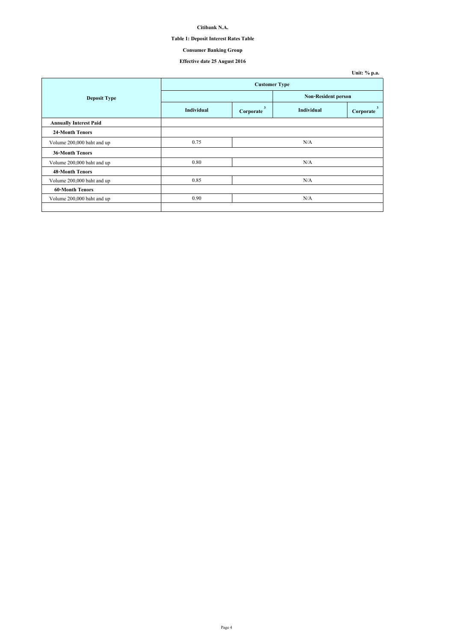## **Table 1: Deposit Interest Rates Table**

# **Consumer Banking Group**

|                               |                            |                |            | Unit: % p.a.   |  |
|-------------------------------|----------------------------|----------------|------------|----------------|--|
|                               | <b>Customer Type</b>       |                |            |                |  |
| <b>Deposit Type</b>           | <b>Non-Resident person</b> |                |            |                |  |
|                               | <b>Individual</b>          | 3<br>Corporate | Individual | 3<br>Corporate |  |
| <b>Annually Interest Paid</b> |                            |                |            |                |  |
| <b>24-Month Tenors</b>        |                            |                |            |                |  |
| Volume 200,000 baht and up    | 0.75                       |                | N/A        |                |  |
| <b>36-Month Tenors</b>        |                            |                |            |                |  |
| Volume 200,000 baht and up    | 0.80                       |                | N/A        |                |  |
| <b>48-Month Tenors</b>        |                            |                |            |                |  |
| Volume 200,000 baht and up    | 0.85                       |                | N/A        |                |  |
| <b>60-Month Tenors</b>        |                            |                |            |                |  |
| Volume 200,000 baht and up    | 0.90                       |                | N/A        |                |  |
|                               |                            |                |            |                |  |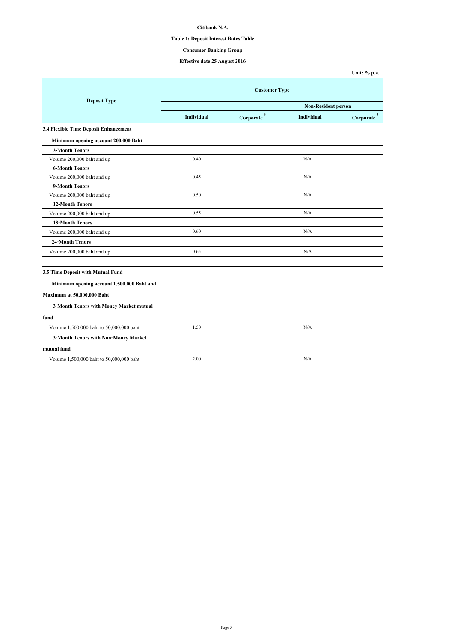## **Table 1: Deposit Interest Rates Table**

# **Consumer Banking Group**

|                                            |                      |                           |                            | Unit: % p.a.             |  |
|--------------------------------------------|----------------------|---------------------------|----------------------------|--------------------------|--|
|                                            | <b>Customer Type</b> |                           |                            |                          |  |
| <b>Deposit Type</b>                        |                      |                           | <b>Non-Resident person</b> |                          |  |
|                                            | Individual           | $\mathbf{3}$<br>Corporate | Individual                 | $\mathbf 3$<br>Corporate |  |
| 3.4 Flexible Time Deposit Enhancement      |                      |                           |                            |                          |  |
| Minimum opening account 200,000 Baht       |                      |                           |                            |                          |  |
| <b>3-Month Tenors</b>                      |                      |                           |                            |                          |  |
| Volume 200,000 baht and up                 | 0.40                 |                           | N/A                        |                          |  |
| <b>6-Month Tenors</b>                      |                      |                           |                            |                          |  |
| Volume 200,000 baht and up                 | 0.45                 |                           | N/A                        |                          |  |
| 9-Month Tenors                             |                      |                           |                            |                          |  |
| Volume 200,000 baht and up                 | 0.50                 |                           | N/A                        |                          |  |
| <b>12-Month Tenors</b>                     |                      |                           |                            |                          |  |
| Volume 200,000 baht and up                 | 0.55                 |                           | N/A                        |                          |  |
| <b>18-Month Tenors</b>                     |                      |                           |                            |                          |  |
| Volume 200,000 baht and up                 | 0.60                 |                           | N/A                        |                          |  |
| <b>24-Month Tenors</b>                     |                      |                           |                            |                          |  |
| Volume 200,000 baht and up                 | 0.65                 |                           | N/A                        |                          |  |
|                                            |                      |                           |                            |                          |  |
| 3.5 Time Deposit with Mutual Fund          |                      |                           |                            |                          |  |
| Minimum opening account 1,500,000 Baht and |                      |                           |                            |                          |  |
| Maximum at 50,000,000 Baht                 |                      |                           |                            |                          |  |
| 3-Month Tenors with Money Market mutual    |                      |                           |                            |                          |  |
| fund                                       |                      |                           |                            |                          |  |
| Volume 1,500,000 baht to 50,000,000 baht   | 1.50                 |                           | N/A                        |                          |  |
| 3-Month Tenors with Non-Money Market       |                      |                           |                            |                          |  |
| mutual fund                                |                      |                           |                            |                          |  |
| Volume 1,500,000 baht to 50,000,000 baht   | 2.00                 |                           | N/A                        |                          |  |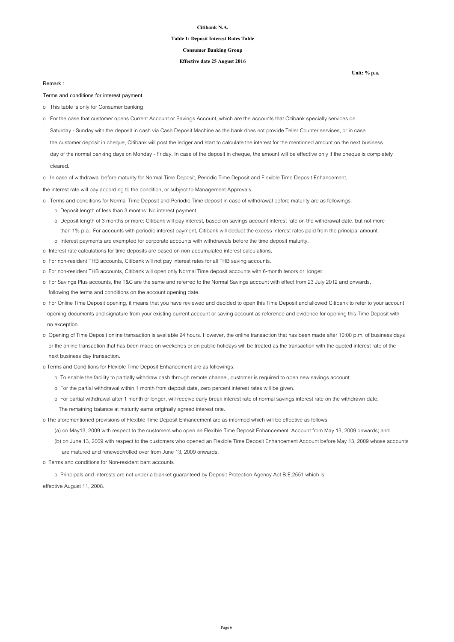### **Table 1: Deposit Interest Rates Table**

### **Consumer Banking Group**

### **Effective date 25 August 2016**

#### **Remark :**

#### **Terms and conditions for interest payment.**

- o This table is only for Consumer banking
- Saturday Sunday with the deposit in cash via Cash Deposit Machine as the bank does not provide Teller Counter services, or in case the customer deposit in cheque, Citibank will post the ledger and start to calculate the interest for the mentioned amount on the next business day of the normal banking days on Monday - Friday. In case of the deposit in cheque, the amount will be effective only if the cheque is completely o For the case that customer opens Current Account or Savings Account, which are the accounts that Citibank specially services on

cleared.

o In case of withdrawal before maturity for Normal Time Deposit, Periodic Time Deposit and Flexible Time Deposit Enhancement,

the interest rate will pay according to the condition, or subject to Management Approvals.

- o Terms and conditions for Normal Time Deposit and Periodic Time deposit in case of withdrawal before maturity are as followings: o Deposit length of less than 3 months: No interest payment.
	- o Deposit length of 3 months or more: Citibank will pay interest, based on savings account interest rate on the withdrawal date, but not more than 1% p.a. For accounts with periodic interest payment, Citibank will deduct the excess interest rates paid from the principal amount. o Interest payments are exempted for corporate accounts with withdrawals before the time deposit maturity.
- o Interest rate calculations for time deposits are based on non-accumulated interest calculations.
- o For non-resident THB accounts, Citibank will not pay interest rates for all THB saving accounts.
- o For non-resident THB accounts, Citibank will open only Normal Time deposit accounts with 6-month tenors or longer.
- o For Savings Plus accounts, the T&C are the same and referred to the Normal Savings account with effect from 23 July 2012 and onwards, following the terms and conditions on the account opening date.
- o For Online Time Deposit opening, it means that you have reviewed and decided to open this Time Deposit and allowed Citibank to refer to your account opening documents and signature from your existing current account or saving account as reference and evidence for opening this Time Deposit with no exception.
- o Opening of Time Deposit online transaction is available 24 hours. However, the online transaction that has been made after 10:00 p.m. of business days or the online transaction that has been made on weekends or on public holidays will be treated as the transaction with the quoted interest rate of the next business day transaction.
- o Terms and Conditions for Flexible Time Deposit Enhancement are as followings:
	- o To enable the facility to partially withdraw cash through remote channel, customer is required to open new savings account.
	- o For the partial withdrawal within 1 month from deposit date, zero percent interest rates will be given.
	- o For partial withdrawal after 1 month or longer, will receive early break interest rate of normal savings interest rate on the withdrawn date. The remaining balance at maturity earns originally agreed interest rate.

o The aforementioned provisions of Flexible Time Deposit Enhancement are as informed which will be effective as follows:

- (a) on May13, 2009 with respect to the customers who open an Flexible Time Deposit Enhancement Account from May 13, 2009 onwards; and
- (b) on June 13, 2009 with respect to the customers who opened an Flexible Time Deposit Enhancement Account before May 13, 2009 whose accounts are matured and renewed/rolled over from June 13, 2009 onwards.
- o Terms and conditions for Non-resident baht accounts

o Principals and interests are not under a blanket guaranteed by Deposit Protection Agency Act B.E.2551 which is

effective August 11, 2008.

**Unit: % p.a.**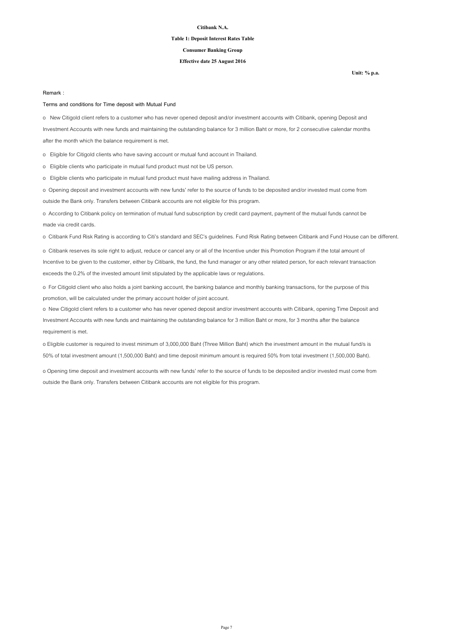### **Table 1: Deposit Interest Rates Table**

## **Consumer Banking Group**

### **Effective date 25 August 2016**

**Unit: % p.a.**

#### **Remark :**

### **Terms and conditions for Time deposit with Mutual Fund**

o New Citigold client refers to a customer who has never opened deposit and/or investment accounts with Citibank, opening Deposit and Investment Accounts with new funds and maintaining the outstanding balance for 3 million Baht or more, for 2 consecutive calendar months after the month which the balance requirement is met.

o Eligible for Citigold clients who have saving account or mutual fund account in Thailand.

o Eligible clients who participate in mutual fund product must not be US person.

o Eligible clients who participate in mutual fund product must have mailing address in Thailand.

o Opening deposit and investment accounts with new funds' refer to the source of funds to be deposited and/or invested must come from outside the Bank only. Transfers between Citibank accounts are not eligible for this program.

o According to Citibank policy on termination of mutual fund subscription by credit card payment, payment of the mutual funds cannot be made via credit cards.

o Citibank Fund Risk Rating is according to Citi's standard and SEC's guidelines. Fund Risk Rating between Citibank and Fund House can be different.

o Citibank reserves its sole right to adjust, reduce or cancel any or all of the Incentive under this Promotion Program if the total amount of Incentive to be given to the customer, either by Citibank, the fund, the fund manager or any other related person, for each relevant transaction exceeds the 0.2% of the invested amount limit stipulated by the applicable laws or regulations.

o For Citigold client who also holds a joint banking account, the banking balance and monthly banking transactions, for the purpose of this promotion, will be calculated under the primary account holder of joint account.

o New Citigold client refers to a customer who has never opened deposit and/or investment accounts with Citibank, opening Time Deposit and Investment Accounts with new funds and maintaining the outstanding balance for 3 million Baht or more, for 3 months after the balance requirement is met.

o Eligible customer is required to invest minimum of 3,000,000 Baht (Three Million Baht) which the investment amount in the mutual fund/s is 50% of total investment amount (1,500,000 Baht) and time deposit minimum amount is required 50% from total investment (1,500,000 Baht).

o Opening time deposit and investment accounts with new funds' refer to the source of funds to be deposited and/or invested must come from outside the Bank only. Transfers between Citibank accounts are not eligible for this program.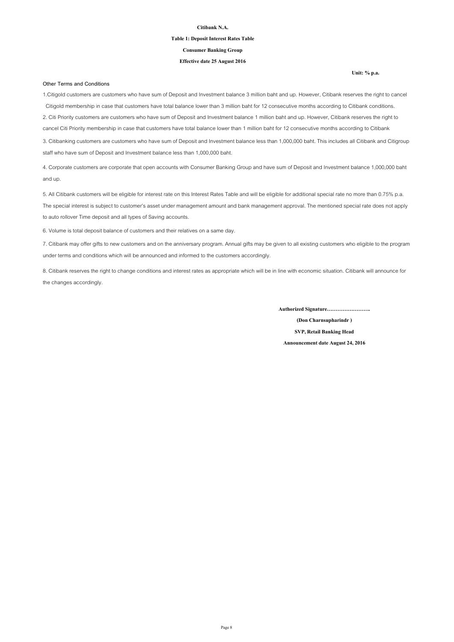### **Table 1: Deposit Interest Rates Table**

### **Consumer Banking Group**

### **Effective date 25 August 2016**

#### **Other Terms and Conditions**

**Unit: % p.a.**

1.Citigold customers are customers who have sum of Deposit and Investment balance 3 million baht and up. However, Citibank reserves the right to cancel Citigold membership in case that customers have total balance lower than 3 million baht for 12 consecutive months according to Citibank conditions. 2. Citi Priority customers are customers who have sum of Deposit and Investment balance 1 million baht and up. However, Citibank reserves the right to cancel Citi Priority membership in case that customers have total balance lower than 1 million baht for 12 consecutive months according to Citibank

3. Citibanking customers are customers who have sum of Deposit and Investment balance less than 1,000,000 baht. This includes all Citibank and Citigroup staff who have sum of Deposit and Investment balance less than 1,000,000 baht.

4. Corporate customers are corporate that open accounts with Consumer Banking Group and have sum of Deposit and Investment balance 1,000,000 baht and up.

5. All Citibank customers will be eligible for interest rate on this Interest Rates Table and will be eligible for additional special rate no more than 0.75% p.a. The special interest is subject to customer's asset under management amount and bank management approval. The mentioned special rate does not apply to auto rollover Time deposit and all types of Saving accounts.

6. Volume is total deposit balance of customers and their relatives on a same day.

7. Citibank may offer gifts to new customers and on the anniversary program. Annual gifts may be given to all existing customers who eligible to the program under terms and conditions which will be announced and informed to the customers accordingly.

8. Citibank reserves the right to change conditions and interest rates as appropriate which will be in line with economic situation. Citibank will announce for the changes accordingly.

**Authorized Signature…………………….**

**(Don Charnsupharindr ) SVP, Retail Banking Head Announcement date August 24, 2016**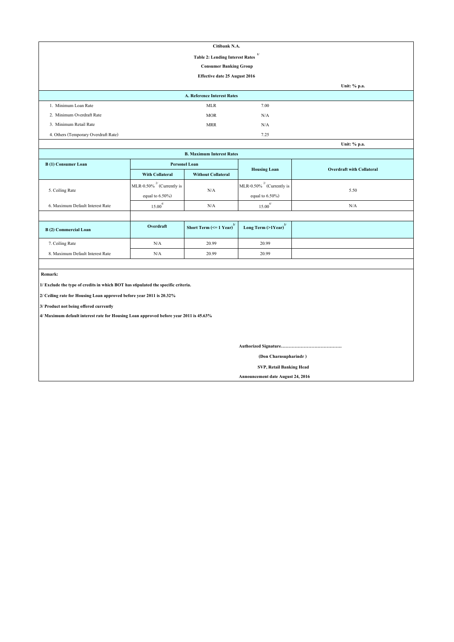|                                        | Citibank N.A.                      |      |                                                   |  |  |
|----------------------------------------|------------------------------------|------|---------------------------------------------------|--|--|
| <b>Table 2: Lending Interest Rates</b> |                                    |      |                                                   |  |  |
|                                        | <b>Consumer Banking Group</b>      |      |                                                   |  |  |
| Effective date 25 August 2016          |                                    |      |                                                   |  |  |
|                                        |                                    |      | Unit: % p.a.                                      |  |  |
|                                        | <b>A. Reference Interest Rates</b> |      |                                                   |  |  |
| 1. Minimum Loan Rate                   | <b>MLR</b>                         | 7.00 |                                                   |  |  |
| 2. Minimum Overdraft Rate              | <b>MOR</b>                         | N/A  |                                                   |  |  |
| 3. Minimum Retail Rate                 | <b>MRR</b>                         | N/A  |                                                   |  |  |
| 4. Others (Temporary Overdraft Rate)   |                                    | 7.25 |                                                   |  |  |
|                                        |                                    |      | $I\left[\text{nit-}\frac{0}{n}\text{ n a}\right]$ |  |  |

| Unit: % p.a.                     |                                 |                                           |                                     |                                  |  |
|----------------------------------|---------------------------------|-------------------------------------------|-------------------------------------|----------------------------------|--|
| <b>B. Maximum Interest Rates</b> |                                 |                                           |                                     |                                  |  |
| B(1) Consumer Loan               | <b>Personel Loan</b>            |                                           | <b>Housing Loan</b>                 | <b>Overdraft with Collateral</b> |  |
|                                  | <b>With Collateral</b>          | <b>Without Collateral</b>                 |                                     |                                  |  |
|                                  | MLR-0.50% $^{27}$ (Currently is | N/A                                       | MLR-0.50% $^{27}$ (Currently is     |                                  |  |
| 5. Ceiling Rate                  | equal to $6.50\%$ )             |                                           | equal to $6.50\%$ )                 | 5.50                             |  |
| 6. Maximum Default Interest Rate | $15.00^{4/}$                    | N/A                                       | $15.00^{4/}$                        | N/A                              |  |
|                                  |                                 |                                           |                                     |                                  |  |
| B(2) Commercial Loan             | Overdraft                       | Short Term ( $\leq 1$ Year) <sup>3/</sup> | Long Term $(>1$ Year) <sup>3/</sup> |                                  |  |
| 7. Ceiling Rate                  | N/A                             | 20.99                                     | 20.99                               |                                  |  |
| 8. Maximum Default Interest Rate | N/A                             | 20.99                                     | 20.99                               |                                  |  |

 **Remark:**

**1/ Exclude the type of credits in which BOT has stipulated the specific criteria.**

**2/ Ceiling rate for Housing Loan approved before year 2011 is 20.32%**

**3/ Product not being offered currently**

**4/ Maximum default interest rate for Housing Loan approved before year 2011 is 45.63%**

**Authorized Signature………………………………….**

 **(Don Charnsupharindr )**

 **SVP, Retail Banking Head**

**Announcement date August 24, 2016**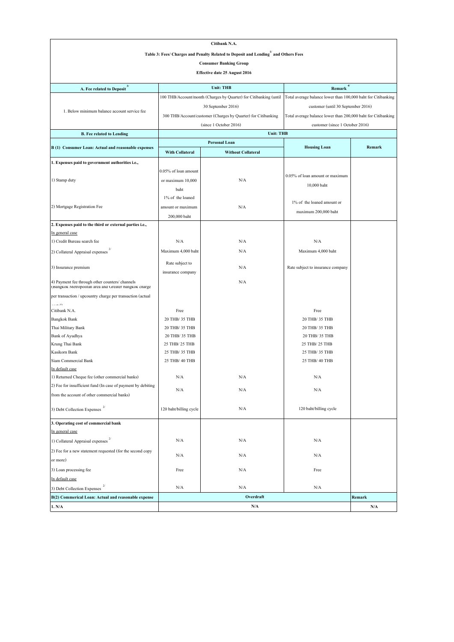|                                                                                                          | Citibank N.A.                                                                     |                                                                   |                                                               |        |  |  |  |
|----------------------------------------------------------------------------------------------------------|-----------------------------------------------------------------------------------|-------------------------------------------------------------------|---------------------------------------------------------------|--------|--|--|--|
|                                                                                                          | Table 3: Fees/ Charges and Penalty Related to Deposit and Lending and Others Fees |                                                                   |                                                               |        |  |  |  |
|                                                                                                          |                                                                                   | <b>Consumer Banking Group</b>                                     |                                                               |        |  |  |  |
|                                                                                                          |                                                                                   | <b>Effective date 25 August 2016</b>                              |                                                               |        |  |  |  |
|                                                                                                          |                                                                                   |                                                                   |                                                               |        |  |  |  |
| A. Fee related to Deposit <sup>3/</sup>                                                                  | 4/<br><b>Unit: THB</b><br>Remark                                                  |                                                                   |                                                               |        |  |  |  |
|                                                                                                          |                                                                                   | 100 THB/Account/month (Charges by Quarter) for Citibanking (until | Total average balance lower than 100,000 baht for Citibanking |        |  |  |  |
|                                                                                                          |                                                                                   | 30 September 2016)                                                | customer (until 30 September 2016)                            |        |  |  |  |
| 1. Below minimum balance account service fee                                                             |                                                                                   | 300 THB/Account/customer (Charges by Quarter) for Citibanking     | Total average balance lower than 200,000 baht for Citibanking |        |  |  |  |
|                                                                                                          |                                                                                   | (since 1 October 2016)                                            | customer (since 1 October 2016)                               |        |  |  |  |
| B. Fee related to Lending                                                                                |                                                                                   | <b>Unit: THB</b>                                                  |                                                               |        |  |  |  |
|                                                                                                          |                                                                                   | <b>Personal Loan</b>                                              |                                                               |        |  |  |  |
| B (1) Consumer Loan: Actual and reasonable expenses                                                      | <b>With Collateral</b>                                                            | <b>Without Collateral</b>                                         | <b>Housing Loan</b>                                           | Remark |  |  |  |
| 1. Expenses paid to government authorities i.e.,                                                         |                                                                                   |                                                                   |                                                               |        |  |  |  |
|                                                                                                          | 0.05% of loan amount                                                              |                                                                   |                                                               |        |  |  |  |
| 1) Stamp duty                                                                                            | or maximum 10,000                                                                 | N/A                                                               | 0.05% of loan amount or maximum                               |        |  |  |  |
|                                                                                                          | baht                                                                              |                                                                   | 10,000 baht                                                   |        |  |  |  |
|                                                                                                          | 1% of the loaned                                                                  |                                                                   |                                                               |        |  |  |  |
| 2) Mortgage Registration Fee                                                                             | amount or maximum                                                                 | N/A                                                               | 1% of the loaned amount or                                    |        |  |  |  |
|                                                                                                          | 200,000 baht                                                                      |                                                                   | maximum 200,000 baht                                          |        |  |  |  |
| 2. Expenses paid to the third or external parties i.e.,                                                  |                                                                                   |                                                                   |                                                               |        |  |  |  |
| In general case                                                                                          |                                                                                   |                                                                   |                                                               |        |  |  |  |
| 1) Credit Bureau search fee                                                                              | N/A                                                                               | N/A                                                               | N/A                                                           |        |  |  |  |
| 2) Collateral Appraisal expenses                                                                         | Maximum 4,000 baht                                                                | N/A                                                               | Maximum 4,000 baht                                            |        |  |  |  |
|                                                                                                          | Rate subject to                                                                   |                                                                   |                                                               |        |  |  |  |
| 3) Insurance premium                                                                                     |                                                                                   | N/A                                                               | Rate subject to insurance company                             |        |  |  |  |
|                                                                                                          | insurance company                                                                 |                                                                   |                                                               |        |  |  |  |
| 4) Payment fee through other counters/ channels<br>(Bangkok Metropolitan area and Greater bangkok charge |                                                                                   | N/A                                                               |                                                               |        |  |  |  |
| per transaction / upcountry charge per transaction (actual                                               |                                                                                   |                                                                   |                                                               |        |  |  |  |
| أأأمامهم                                                                                                 |                                                                                   |                                                                   |                                                               |        |  |  |  |
| Citibank N.A.                                                                                            | Free                                                                              |                                                                   | Free                                                          |        |  |  |  |
| <b>Bangkok Bank</b>                                                                                      | 20 THB/ 35 THB                                                                    |                                                                   | 20 THB/ 35 THB                                                |        |  |  |  |
| Thai Military Bank                                                                                       | 20 THB/ 35 THB                                                                    |                                                                   | 20 THB/ 35 THB                                                |        |  |  |  |
| Bank of Ayudhya<br>Krung Thai Bank                                                                       | 20 THB/ 35 THB<br>25 THB/ 25 THB                                                  |                                                                   | 20 THB/ 35 THB<br>25 THB/ 25 THB                              |        |  |  |  |
| Kasikorn Bank                                                                                            | 25 THB/ 35 THB                                                                    |                                                                   | 25 THB/ 35 THB                                                |        |  |  |  |
| Siam Commercial Bank                                                                                     | 25 THB/ 40 THB                                                                    |                                                                   | 25 THB/ 40 THB                                                |        |  |  |  |
| In default case                                                                                          |                                                                                   |                                                                   |                                                               |        |  |  |  |
| 1) Returned Cheque fee (other commercial banks)                                                          | N/A                                                                               | N/A                                                               | N/A                                                           |        |  |  |  |
| 2) Fee for insufficient fund (In case of payment by debiting                                             |                                                                                   |                                                                   |                                                               |        |  |  |  |
| from the account of other commercial banks)                                                              | N/A                                                                               | N/A                                                               | N/A                                                           |        |  |  |  |
| 3) Debt Collection Expenses $^{\mathrm{2/}}$                                                             | 120 baht/billing cycle                                                            | N/A                                                               | 120 baht/billing cycle                                        |        |  |  |  |
| 3. Operating cost of commercial bank                                                                     |                                                                                   |                                                                   |                                                               |        |  |  |  |
| In general case                                                                                          |                                                                                   |                                                                   |                                                               |        |  |  |  |
| 1) Collateral Appraisal expenses                                                                         | N/A                                                                               | N/A                                                               | N/A                                                           |        |  |  |  |
| 2) Fee for a new statement requested (for the second copy                                                |                                                                                   |                                                                   |                                                               |        |  |  |  |
| or more)                                                                                                 | N/A                                                                               | N/A                                                               | N/A                                                           |        |  |  |  |
| 3) Loan processing fee                                                                                   | Free                                                                              | N/A                                                               | Free                                                          |        |  |  |  |
| In default case                                                                                          |                                                                                   |                                                                   |                                                               |        |  |  |  |
| 3) Debt Collection Expenses                                                                              | N/A                                                                               | N/A                                                               | N/A                                                           |        |  |  |  |
| B(2) Commerical Loan: Actual and reasonable expense                                                      |                                                                                   | Overdraft                                                         |                                                               | Remark |  |  |  |
| 1. N/A                                                                                                   | N/A<br>N/A                                                                        |                                                                   |                                                               |        |  |  |  |